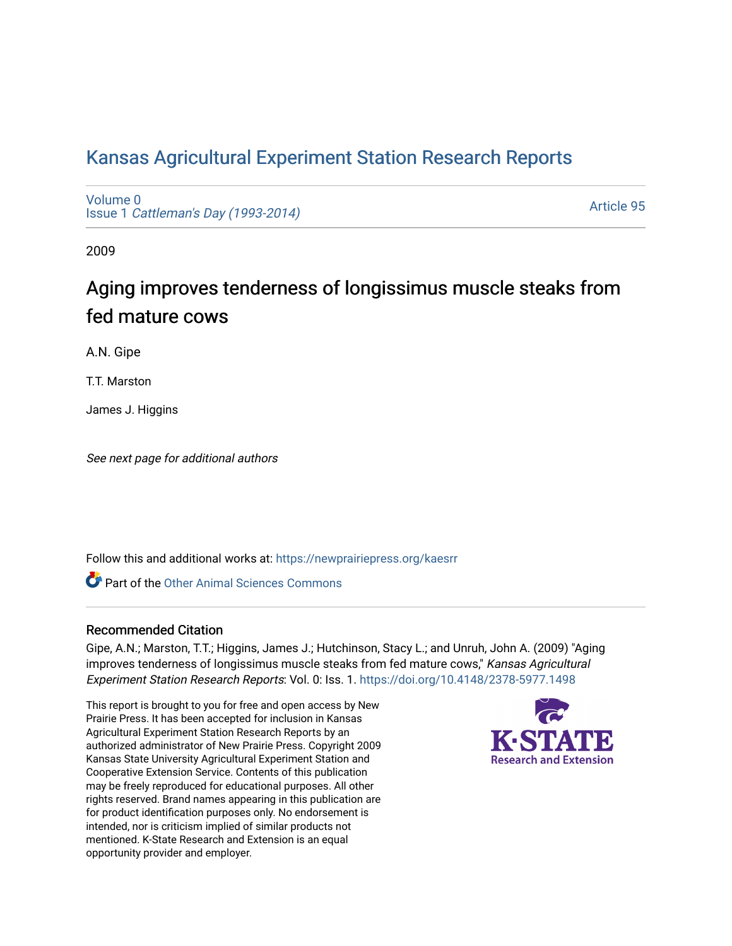### [Kansas Agricultural Experiment Station Research Reports](https://newprairiepress.org/kaesrr)

[Volume 0](https://newprairiepress.org/kaesrr/vol0) Issue 1 [Cattleman's Day \(1993-2014\)](https://newprairiepress.org/kaesrr/vol0/iss1) 

[Article 95](https://newprairiepress.org/kaesrr/vol0/iss1/95) 

2009

## Aging improves tenderness of longissimus muscle steaks from fed mature cows

A.N. Gipe

T.T. Marston

James J. Higgins

See next page for additional authors

Follow this and additional works at: [https://newprairiepress.org/kaesrr](https://newprairiepress.org/kaesrr?utm_source=newprairiepress.org%2Fkaesrr%2Fvol0%2Fiss1%2F95&utm_medium=PDF&utm_campaign=PDFCoverPages) 

**C** Part of the [Other Animal Sciences Commons](http://network.bepress.com/hgg/discipline/82?utm_source=newprairiepress.org%2Fkaesrr%2Fvol0%2Fiss1%2F95&utm_medium=PDF&utm_campaign=PDFCoverPages)

#### Recommended Citation

Gipe, A.N.; Marston, T.T.; Higgins, James J.; Hutchinson, Stacy L.; and Unruh, John A. (2009) "Aging improves tenderness of longissimus muscle steaks from fed mature cows," Kansas Agricultural Experiment Station Research Reports: Vol. 0: Iss. 1. <https://doi.org/10.4148/2378-5977.1498>

This report is brought to you for free and open access by New Prairie Press. It has been accepted for inclusion in Kansas Agricultural Experiment Station Research Reports by an authorized administrator of New Prairie Press. Copyright 2009 Kansas State University Agricultural Experiment Station and Cooperative Extension Service. Contents of this publication may be freely reproduced for educational purposes. All other rights reserved. Brand names appearing in this publication are for product identification purposes only. No endorsement is intended, nor is criticism implied of similar products not mentioned. K-State Research and Extension is an equal opportunity provider and employer.

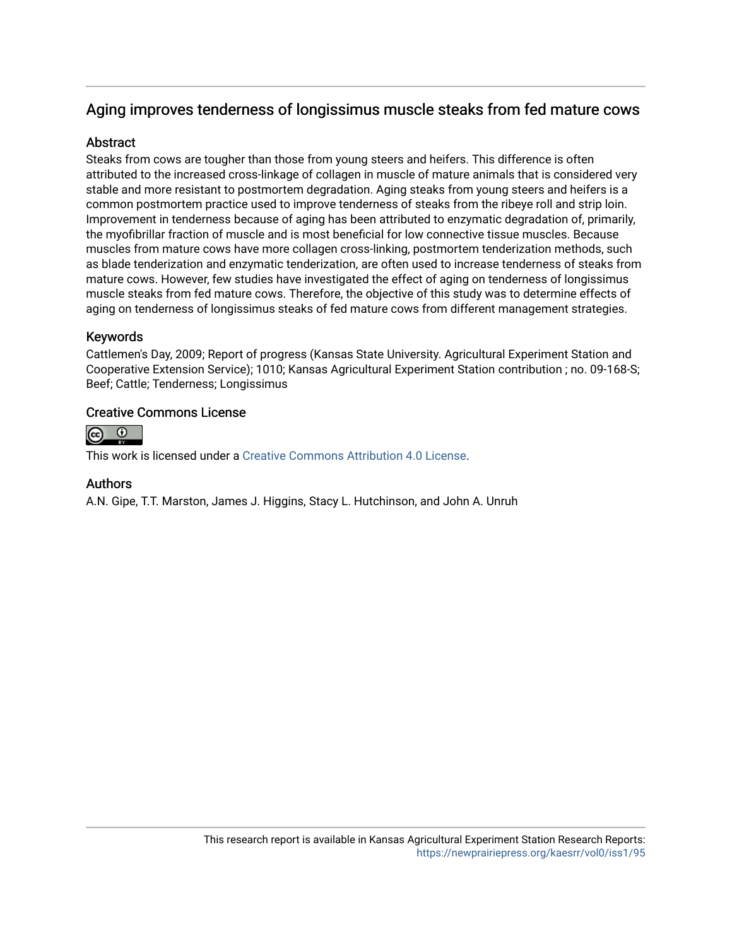### Aging improves tenderness of longissimus muscle steaks from fed mature cows

#### **Abstract**

Steaks from cows are tougher than those from young steers and heifers. This difference is often attributed to the increased cross-linkage of collagen in muscle of mature animals that is considered very stable and more resistant to postmortem degradation. Aging steaks from young steers and heifers is a common postmortem practice used to improve tenderness of steaks from the ribeye roll and strip loin. Improvement in tenderness because of aging has been attributed to enzymatic degradation of, primarily, the myofibrillar fraction of muscle and is most beneficial for low connective tissue muscles. Because muscles from mature cows have more collagen cross-linking, postmortem tenderization methods, such as blade tenderization and enzymatic tenderization, are often used to increase tenderness of steaks from mature cows. However, few studies have investigated the effect of aging on tenderness of longissimus muscle steaks from fed mature cows. Therefore, the objective of this study was to determine effects of aging on tenderness of longissimus steaks of fed mature cows from different management strategies.

#### Keywords

Cattlemen's Day, 2009; Report of progress (Kansas State University. Agricultural Experiment Station and Cooperative Extension Service); 1010; Kansas Agricultural Experiment Station contribution ; no. 09-168-S; Beef; Cattle; Tenderness; Longissimus

#### Creative Commons License



This work is licensed under a [Creative Commons Attribution 4.0 License](https://creativecommons.org/licenses/by/4.0/).

#### Authors

A.N. Gipe, T.T. Marston, James J. Higgins, Stacy L. Hutchinson, and John A. Unruh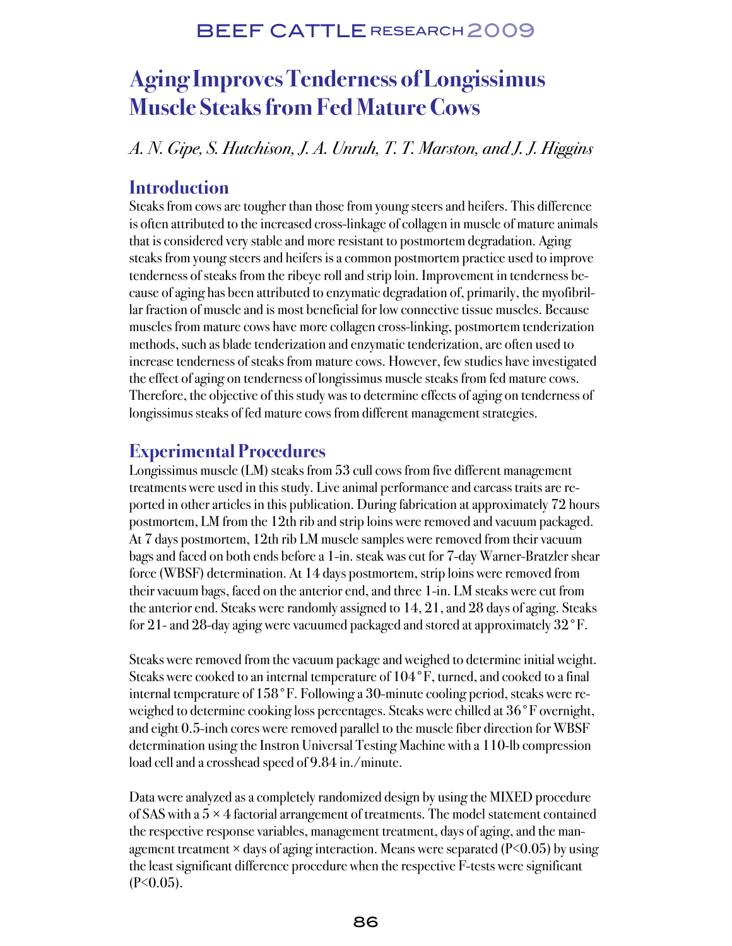### BEEF CATTLE RESEARCH 2009

# **Aging Improves Tenderness of Longissimus Muscle Steaks from Fed Mature Cows**

A. N. Gipe, S. Hutchison, J. A. Unruh, T. T. Marston, and J. J. Higgins

### **Introduction**

Steaks from cows are tougher than those from young steers and heifers. This difference is often attributed to the increased cross-linkage of collagen in muscle of mature animals that is considered very stable and more resistant to postmortem degradation. Aging steaks from young steers and heifers is a common postmortem practice used to improve tenderness of steaks from the ribeye roll and strip loin. Improvement in tenderness because of aging has been attributed to enzymatic degradation of, primarily, the myofibrillar fraction of muscle and is most beneficial for low connective tissue muscles. Because muscles from mature cows have more collagen cross-linking, postmortem tenderization methods, such as blade tenderization and enzymatic tenderization, are often used to increase tenderness of steaks from mature cows. However, few studies have investigated the effect of aging on tenderness of longissimus muscle steaks from fed mature cows. Therefore, the objective of this study was to determine effects of aging on tenderness of longissimus steaks of fed mature cows from different management strategies.

### **Experimental Procedures**

Longissimus muscle (LM) steaks from 53 cull cows from five different management treatments were used in this study. Live animal performance and carcass traits are reported in other articles in this publication. During fabrication at approximately 72 hours postmortem, LM from the 12th rib and strip loins were removed and vacuum packaged. At 7 days postmortem, 12th rib LM muscle samples were removed from their vacuum bags and faced on both ends before a 1-in. steak was cut for 7-day Warner-Bratzler shear force (WBSF) determination. At 14 days postmortem, strip loins were removed from their vacuum bags, faced on the anterior end, and three 1-in. LM steaks were cut from the anterior end. Steaks were randomly assigned to 14, 21, and 28 days of aging. Steaks for 21- and 28-day aging were vacuumed packaged and stored at approximately 32°F.

Steaks were removed from the vacuum package and weighed to determine initial weight. Steaks were cooked to an internal temperature of 104°F, turned, and cooked to a final internal temperature of 158°F. Following a 30-minute cooling period, steaks were reweighed to determine cooking loss percentages. Steaks were chilled at 36°F overnight, and eight 0.5-inch cores were removed parallel to the muscle fiber direction for WBSF determination using the Instron Universal Testing Machine with a 110-lb compression load cell and a crosshead speed of 9.84 in./minute.

Data were analyzed as a completely randomized design by using the MIXED procedure of SAS with a  $5 \times 4$  factorial arrangement of treatments. The model statement contained the respective response variables, management treatment, days of aging, and the management treatment  $\times$  days of aging interaction. Means were separated (P $\leq$ 0.05) by using the least significant difference procedure when the respective F-tests were significant  $(P<0.05)$ .